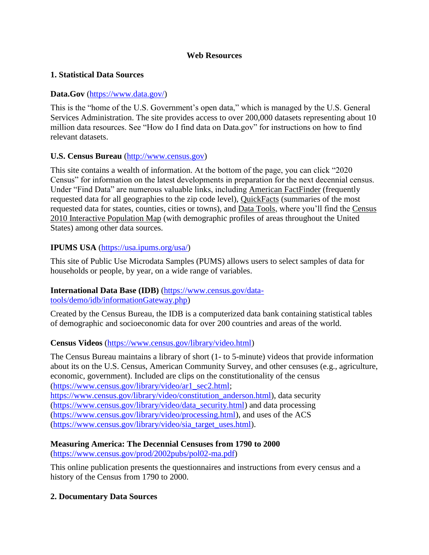#### **Web Resources**

### **1. Statistical Data Sources**

## **Data.Gov** [\(https://www.data.gov/\)](https://www.data.gov/)

This is the "home of the U.S. Government's open data," which is managed by the U.S. General Services Administration. The site provides access to over 200,000 datasets representing about 10 million data resources. See "How do I find data on Data.gov" for instructions on how to find relevant datasets.

### **U.S. Census Bureau** [\(http://www.census.gov\)](http://www.census.gov/)

This site contains a wealth of information. At the bottom of the page, you can click "2020 Census" for information on the latest developments in preparation for the next decennial census. Under "Find Data" are numerous valuable links, including American FactFinder (frequently requested data for all geographies to the zip code level), QuickFacts (summaries of the most requested data for states, counties, cities or towns), and Data Tools, where you'll find the Census 2010 Interactive Population Map (with demographic profiles of areas throughout the United States) among other data sources.

### **IPUMS USA** [\(https://usa.ipums.org/usa/\)](https://usa.ipums.org/usa/)

This site of Public Use Microdata Samples (PUMS) allows users to select samples of data for households or people, by year, on a wide range of variables.

#### **International Data Base (IDB)** [\(https://www.census.gov/data](https://www.census.gov/data-tools/demo/idb/informationGateway.php)[tools/demo/idb/informationGateway.php\)](https://www.census.gov/data-tools/demo/idb/informationGateway.php)

Created by the Census Bureau, the IDB is a computerized data bank containing statistical tables of demographic and socioeconomic data for over 200 countries and areas of the world.

#### **Census Videos** [\(https://www.census.gov/library/video.html\)](https://www.census.gov/library/video.html)

The Census Bureau maintains a library of short (1- to 5-minute) videos that provide information about its on the U.S. Census, American Community Survey, and other censuses (e.g., agriculture, economic, government). Included are clips on the constitutionality of the census [\(https://www.census.gov/library/video/ar1\\_sec2.html;](https://www.census.gov/library/video/ar1_sec2.html) [https://www.census.gov/library/video/constitution\\_anderson.html\)](https://www.census.gov/library/video/constitution_anderson.html), data security [\(https://www.census.gov/library/video/data\\_security.html\)](https://www.census.gov/library/video/data_security.html) and data processing [\(https://www.census.gov/library/video/processing.html\)](https://www.census.gov/library/video/processing.html), and uses of the ACS [\(https://www.census.gov/library/video/sia\\_target\\_uses.html\)](https://www.census.gov/library/video/sia_target_uses.html).

# **Measuring America: The Decennial Censuses from 1790 to 2000**

[\(https://www.census.gov/prod/2002pubs/pol02-ma.pdf\)](https://www.census.gov/prod/2002pubs/pol02-ma.pdf)

This online publication presents the questionnaires and instructions from every census and a history of the Census from 1790 to 2000.

#### **2. Documentary Data Sources**